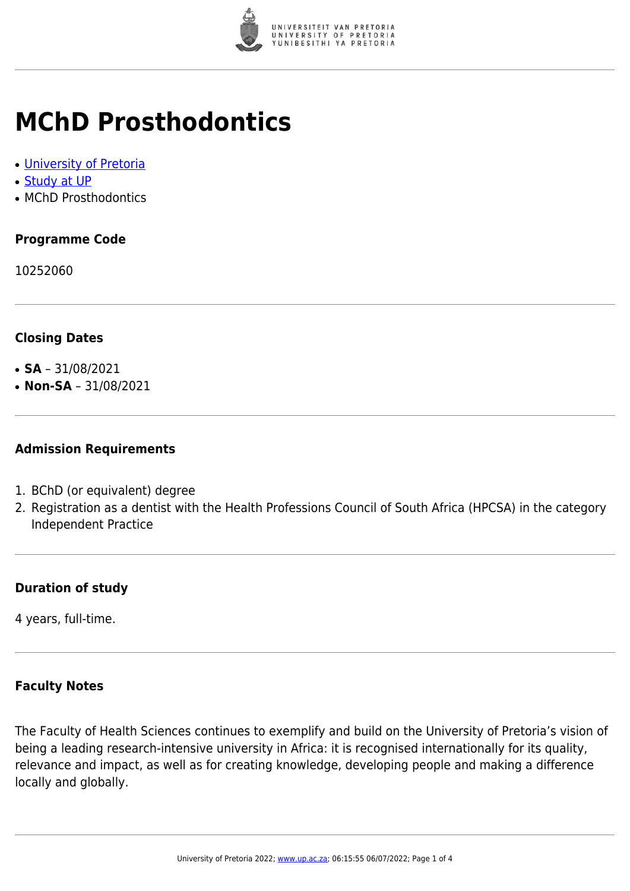

## **MChD Prosthodontics**

- [University of Pretoria](https://www.up.ac.za/home)
- [Study at UP](https://www.up.ac.za/programmes)
- MChD Prosthodontics

### **Programme Code**

10252060

#### **Closing Dates**

- $\cdot$  **SA** 31/08/2021
- $\cdot$  **Non-SA** 31/08/2021

#### **Admission Requirements**

- 1. BChD (or equivalent) degree
- 2. Registration as a dentist with the Health Professions Council of South Africa (HPCSA) in the category Independent Practice

#### **Duration of study**

4 years, full-time.

#### **Faculty Notes**

The Faculty of Health Sciences continues to exemplify and build on the University of Pretoria's vision of being a leading research-intensive university in Africa: it is recognised internationally for its quality, relevance and impact, as well as for creating knowledge, developing people and making a difference locally and globally.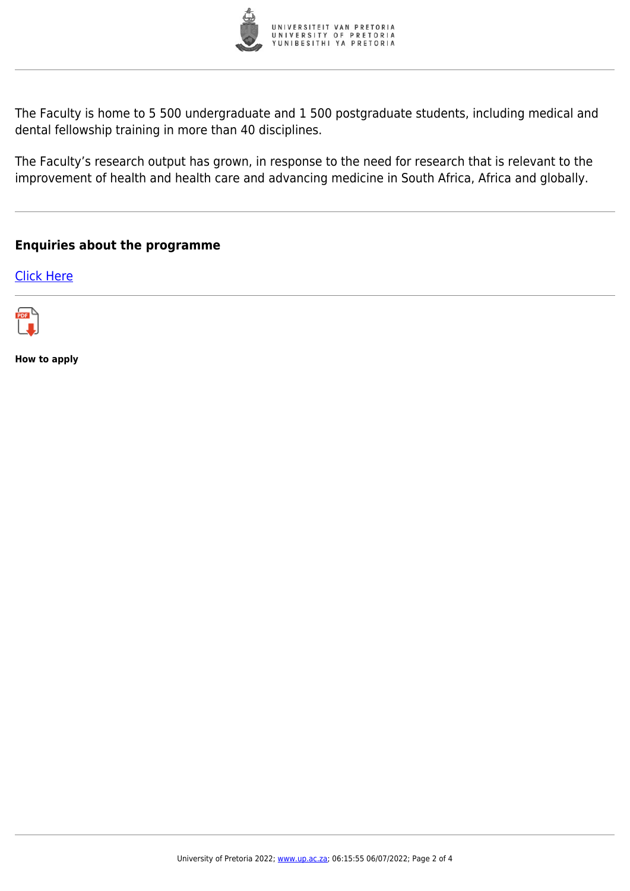

The Faculty is home to 5 500 undergraduate and 1 500 postgraduate students, including medical and dental fellowship training in more than 40 disciplines.

The Faculty's research output has grown, in response to the need for research that is relevant to the improvement of health and health care and advancing medicine in South Africa, Africa and globally.

#### **Enquiries about the programme**

[Click Here](https://www.up.ac.za/postgraduate-students)



**How to apply**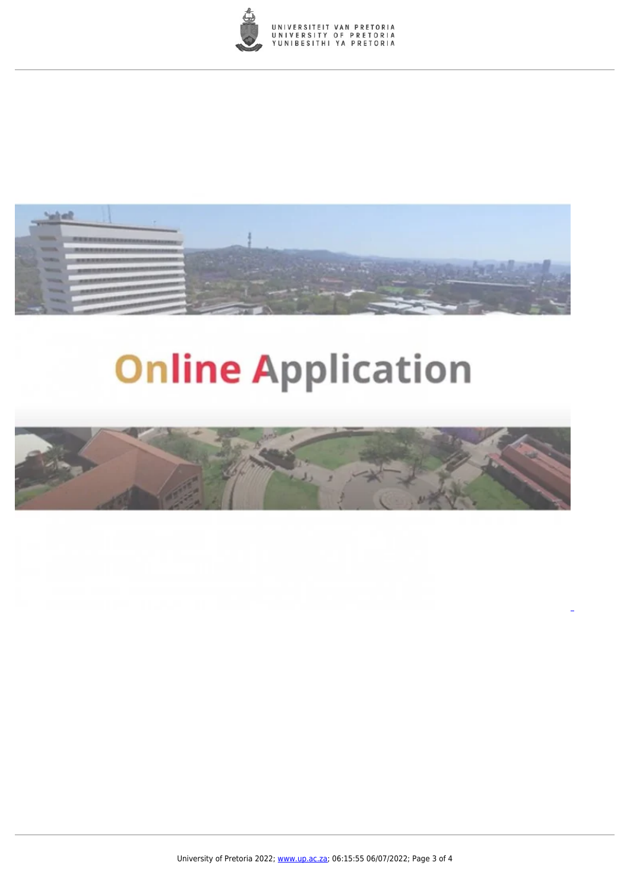



# **Online Application**